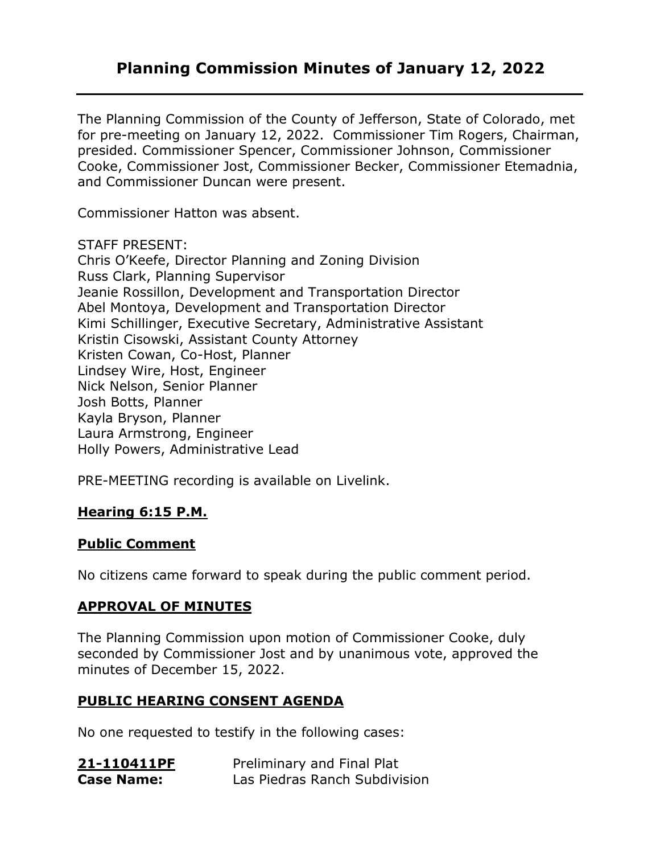# **Planning Commission Minutes of January 12, 2022**

The Planning Commission of the County of Jefferson, State of Colorado, met for pre-meeting on January 12, 2022. Commissioner Tim Rogers, Chairman, presided. Commissioner Spencer, Commissioner Johnson, Commissioner Cooke, Commissioner Jost, Commissioner Becker, Commissioner Etemadnia, and Commissioner Duncan were present.

Commissioner Hatton was absent.

STAFF PRESENT:

Chris O'Keefe, Director Planning and Zoning Division Russ Clark, Planning Supervisor Jeanie Rossillon, Development and Transportation Director Abel Montoya, Development and Transportation Director Kimi Schillinger, Executive Secretary, Administrative Assistant Kristin Cisowski, Assistant County Attorney Kristen Cowan, Co-Host, Planner Lindsey Wire, Host, Engineer Nick Nelson, Senior Planner Josh Botts, Planner Kayla Bryson, Planner Laura Armstrong, Engineer Holly Powers, Administrative Lead

PRE-MEETING recording is available on Livelink.

### **Hearing 6:15 P.M.**

#### **Public Comment**

No citizens came forward to speak during the public comment period.

### **APPROVAL OF MINUTES**

The Planning Commission upon motion of Commissioner Cooke, duly seconded by Commissioner Jost and by unanimous vote, approved the minutes of December 15, 2022.

#### **PUBLIC HEARING CONSENT AGENDA**

No one requested to testify in the following cases:

| 21-110411PF       | Preliminary and Final Plat    |
|-------------------|-------------------------------|
| <b>Case Name:</b> | Las Piedras Ranch Subdivision |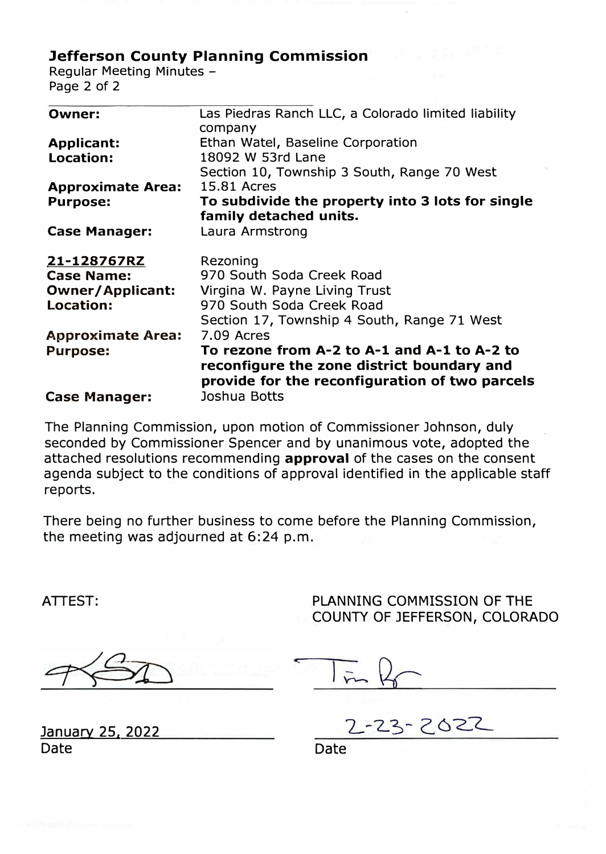## Jefferson County Planning Commission

Regular Meeting Minutes - Page 2 of 2

| <b>Owner:</b>            | Las Piedras Ranch LLC, a Colorado limited liability<br>company                                                                              |
|--------------------------|---------------------------------------------------------------------------------------------------------------------------------------------|
| <b>Applicant:</b>        | Ethan Watel, Baseline Corporation                                                                                                           |
| Location:                | 18092 W 53rd Lane                                                                                                                           |
|                          | Section 10, Township 3 South, Range 70 West                                                                                                 |
| <b>Approximate Area:</b> | 15.81 Acres                                                                                                                                 |
| <b>Purpose:</b>          | To subdivide the property into 3 lots for single                                                                                            |
|                          | family detached units.                                                                                                                      |
| <b>Case Manager:</b>     | Laura Armstrong                                                                                                                             |
|                          |                                                                                                                                             |
| 21-128767RZ              | Rezoning                                                                                                                                    |
| <b>Case Name:</b>        | 970 South Soda Creek Road                                                                                                                   |
| <b>Owner/Applicant:</b>  | Virgina W. Payne Living Trust                                                                                                               |
| Location:                | 970 South Soda Creek Road                                                                                                                   |
|                          | Section 17, Township 4 South, Range 71 West                                                                                                 |
| <b>Approximate Area:</b> | 7.09 Acres                                                                                                                                  |
| <b>Purpose:</b>          | To rezone from A-2 to A-1 and A-1 to A-2 to<br>reconfigure the zone district boundary and<br>provide for the reconfiguration of two parcels |
| <b>Case Manager:</b>     | Joshua Botts                                                                                                                                |

The Planning Commission, upon motion of Commissioner Johnson, duly seconded by Commissioner Spencer and by unanimous vote, adopted the attached resolutions recommending **approval** of the cases on the consent agenda subject to the conditions of approval identified in the applicable staff reports.

There being no further business to come before the Planning Commission, the meeting was adjourned at 6:24 p.m.

ATTEST:

PLANNING COMMISSION OF THE COUNTY OF JEFFERSON, COLORADO

January 25, 2022 Date

23-2022

Date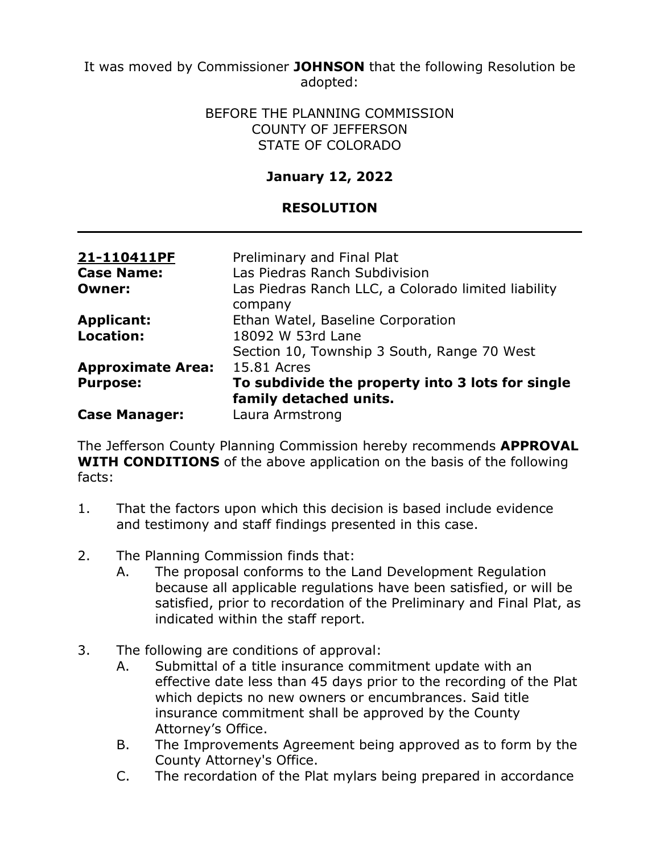It was moved by Commissioner **JOHNSON** that the following Resolution be adopted:

#### BEFORE THE PLANNING COMMISSION COUNTY OF JEFFERSON STATE OF COLORADO

# **January 12, 2022**

### **RESOLUTION**

| 21-110411PF<br><b>Case Name:</b><br><b>Owner:</b> | Preliminary and Final Plat<br>Las Piedras Ranch Subdivision<br>Las Piedras Ranch LLC, a Colorado limited liability |  |
|---------------------------------------------------|--------------------------------------------------------------------------------------------------------------------|--|
|                                                   | company                                                                                                            |  |
| <b>Applicant:</b>                                 | Ethan Watel, Baseline Corporation                                                                                  |  |
| Location:                                         | 18092 W 53rd Lane                                                                                                  |  |
|                                                   | Section 10, Township 3 South, Range 70 West                                                                        |  |
| <b>Approximate Area:</b>                          | 15.81 Acres                                                                                                        |  |
| <b>Purpose:</b>                                   | To subdivide the property into 3 lots for single                                                                   |  |
|                                                   | family detached units.                                                                                             |  |
| <b>Case Manager:</b>                              | Laura Armstrong                                                                                                    |  |

The Jefferson County Planning Commission hereby recommends **APPROVAL WITH CONDITIONS** of the above application on the basis of the following facts:

- 1. That the factors upon which this decision is based include evidence and testimony and staff findings presented in this case.
- 2. The Planning Commission finds that:
	- A. The proposal conforms to the Land Development Regulation because all applicable regulations have been satisfied, or will be satisfied, prior to recordation of the Preliminary and Final Plat, as indicated within the staff report.
- 3. The following are conditions of approval:
	- A. Submittal of a title insurance commitment update with an effective date less than 45 days prior to the recording of the Plat which depicts no new owners or encumbrances. Said title insurance commitment shall be approved by the County Attorney's Office.
	- B. The Improvements Agreement being approved as to form by the County Attorney's Office.
	- C. The recordation of the Plat mylars being prepared in accordance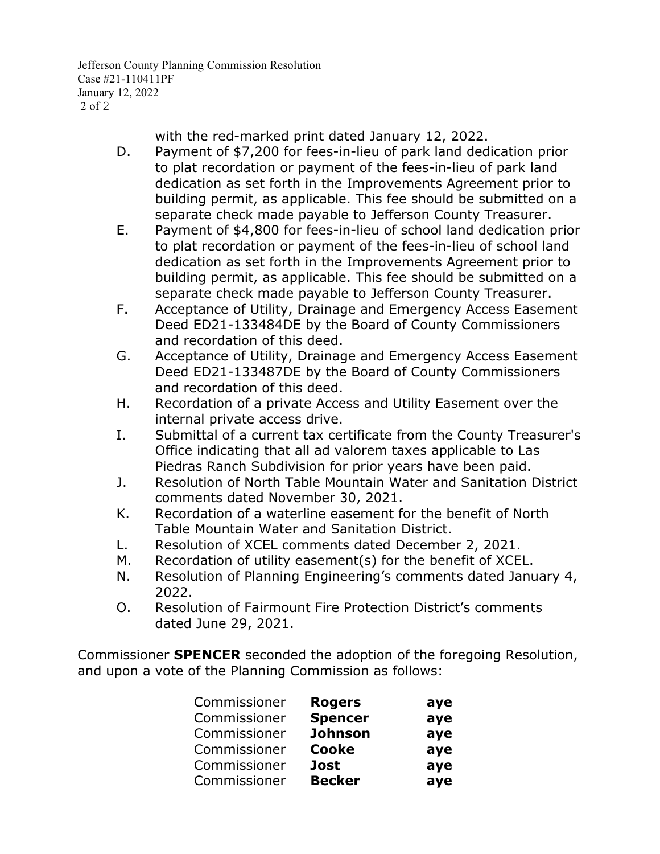Jefferson County Planning Commission Resolution Case #21-110411PF January 12, 2022 2 of 2

with the red-marked print dated January 12, 2022.

- D. Payment of \$7,200 for fees-in-lieu of park land dedication prior to plat recordation or payment of the fees-in-lieu of park land dedication as set forth in the Improvements Agreement prior to building permit, as applicable. This fee should be submitted on a separate check made payable to Jefferson County Treasurer.
- E. Payment of \$4,800 for fees-in-lieu of school land dedication prior to plat recordation or payment of the fees-in-lieu of school land dedication as set forth in the Improvements Agreement prior to building permit, as applicable. This fee should be submitted on a separate check made payable to Jefferson County Treasurer.
- F. Acceptance of Utility, Drainage and Emergency Access Easement Deed ED21-133484DE by the Board of County Commissioners and recordation of this deed.
- G. Acceptance of Utility, Drainage and Emergency Access Easement Deed ED21-133487DE by the Board of County Commissioners and recordation of this deed.
- H. Recordation of a private Access and Utility Easement over the internal private access drive.
- I. Submittal of a current tax certificate from the County Treasurer's Office indicating that all ad valorem taxes applicable to Las Piedras Ranch Subdivision for prior years have been paid.
- J. Resolution of North Table Mountain Water and Sanitation District comments dated November 30, 2021.
- K. Recordation of a waterline easement for the benefit of North Table Mountain Water and Sanitation District.
- L. Resolution of XCEL comments dated December 2, 2021.
- M. Recordation of utility easement(s) for the benefit of XCEL.
- N. Resolution of Planning Engineering's comments dated January 4, 2022.
- O. Resolution of Fairmount Fire Protection District's comments dated June 29, 2021.

Commissioner **SPENCER** seconded the adoption of the foregoing Resolution, and upon a vote of the Planning Commission as follows:

| Commissioner | <b>Rogers</b>  | aye |
|--------------|----------------|-----|
| Commissioner | <b>Spencer</b> | aye |
| Commissioner | <b>Johnson</b> | aye |
| Commissioner | <b>Cooke</b>   | aye |
| Commissioner | <b>Jost</b>    | aye |
| Commissioner | <b>Becker</b>  | aye |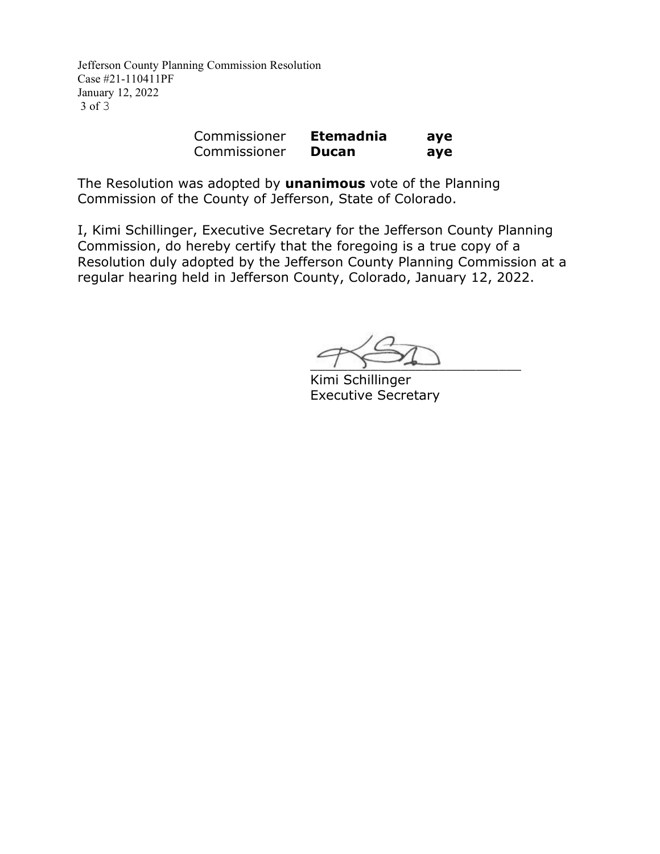Jefferson County Planning Commission Resolution Case #21-110411PF January 12, 2022 3 of 3

| Commissioner | <b>Etemadnia</b> | aye |
|--------------|------------------|-----|
| Commissioner | Ducan            | aye |

The Resolution was adopted by **unanimous** vote of the Planning Commission of the County of Jefferson, State of Colorado.

I, Kimi Schillinger, Executive Secretary for the Jefferson County Planning Commission, do hereby certify that the foregoing is a true copy of a Resolution duly adopted by the Jefferson County Planning Commission at a regular hearing held in Jefferson County, Colorado, January 12, 2022.

 $\overline{\phantom{a}}$ 

Kimi Schillinger Executive Secretary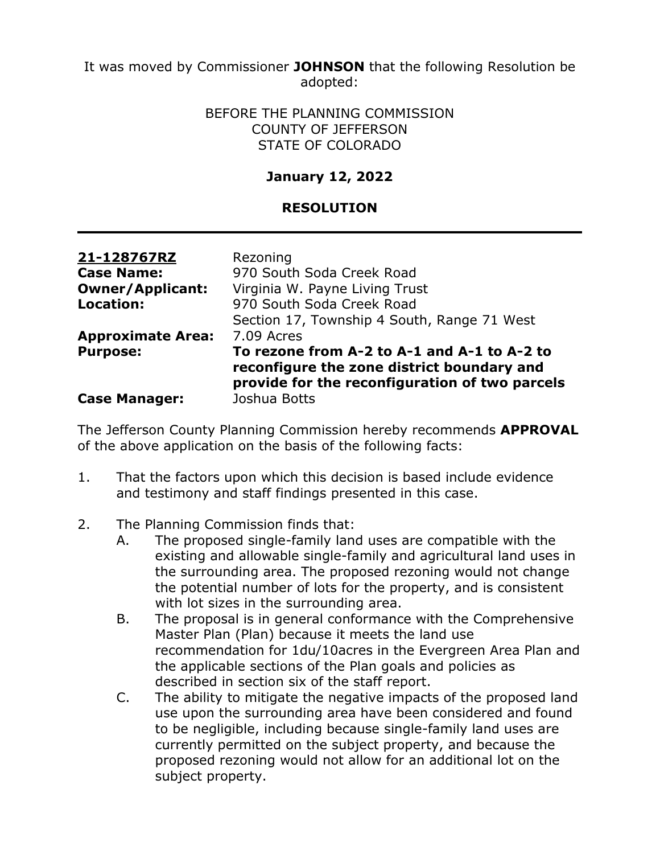It was moved by Commissioner **JOHNSON** that the following Resolution be adopted:

#### BEFORE THE PLANNING COMMISSION COUNTY OF JEFFERSON STATE OF COLORADO

## **January 12, 2022**

### **RESOLUTION**

| 21-128767RZ              | Rezoning                                                                                                                                    |
|--------------------------|---------------------------------------------------------------------------------------------------------------------------------------------|
| <b>Case Name:</b>        | 970 South Soda Creek Road                                                                                                                   |
| <b>Owner/Applicant:</b>  | Virginia W. Payne Living Trust                                                                                                              |
| <b>Location:</b>         | 970 South Soda Creek Road                                                                                                                   |
|                          | Section 17, Township 4 South, Range 71 West                                                                                                 |
| <b>Approximate Area:</b> | 7.09 Acres                                                                                                                                  |
| <b>Purpose:</b>          | To rezone from A-2 to A-1 and A-1 to A-2 to<br>reconfigure the zone district boundary and<br>provide for the reconfiguration of two parcels |
| <b>Case Manager:</b>     | Joshua Botts                                                                                                                                |

The Jefferson County Planning Commission hereby recommends **APPROVAL** of the above application on the basis of the following facts:

- 1. That the factors upon which this decision is based include evidence and testimony and staff findings presented in this case.
- 2. The Planning Commission finds that:
	- A. The proposed single-family land uses are compatible with the existing and allowable single-family and agricultural land uses in the surrounding area. The proposed rezoning would not change the potential number of lots for the property, and is consistent with lot sizes in the surrounding area.
	- B. The proposal is in general conformance with the Comprehensive Master Plan (Plan) because it meets the land use recommendation for 1du/10acres in the Evergreen Area Plan and the applicable sections of the Plan goals and policies as described in section six of the staff report.
	- C. The ability to mitigate the negative impacts of the proposed land use upon the surrounding area have been considered and found to be negligible, including because single-family land uses are currently permitted on the subject property, and because the proposed rezoning would not allow for an additional lot on the subject property.